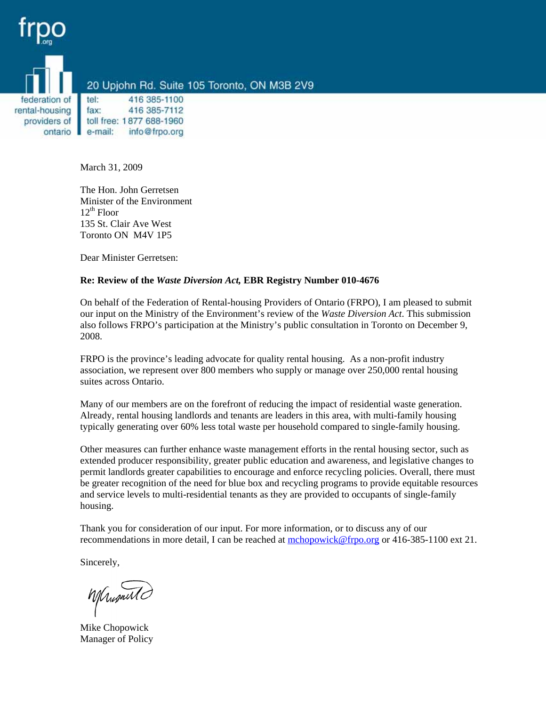

March 31, 2009

The Hon. John Gerretsen Minister of the Environment  $12^{th}$  Floor 135 St. Clair Ave West Toronto ON M4V 1P5

Dear Minister Gerretsen:

#### **Re: Review of the** *Waste Diversion Act,* **EBR Registry Number 010-4676**

On behalf of the Federation of Rental-housing Providers of Ontario (FRPO), I am pleased to submit our input on the Ministry of the Environment's review of the *Waste Diversion Act*. This submission also follows FRPO's participation at the Ministry's public consultation in Toronto on December 9, 2008.

FRPO is the province's leading advocate for quality rental housing. As a non-profit industry association, we represent over 800 members who supply or manage over 250,000 rental housing suites across Ontario.

Many of our members are on the forefront of reducing the impact of residential waste generation. Already, rental housing landlords and tenants are leaders in this area, with multi-family housing typically generating over 60% less total waste per household compared to single-family housing.

Other measures can further enhance waste management efforts in the rental housing sector, such as extended producer responsibility, greater public education and awareness, and legislative changes to permit landlords greater capabilities to encourage and enforce recycling policies. Overall, there must be greater recognition of the need for blue box and recycling programs to provide equitable resources and service levels to multi-residential tenants as they are provided to occupants of single-family housing.

Thank you for consideration of our input. For more information, or to discuss any of our recommendations in more detail, I can be reached at [mchopowick@frpo.org](mailto:mchopowick@frpo.org) or 416-385-1100 ext 21.

Sincerely,

Mansuite

Mike Chopowick Manager of Policy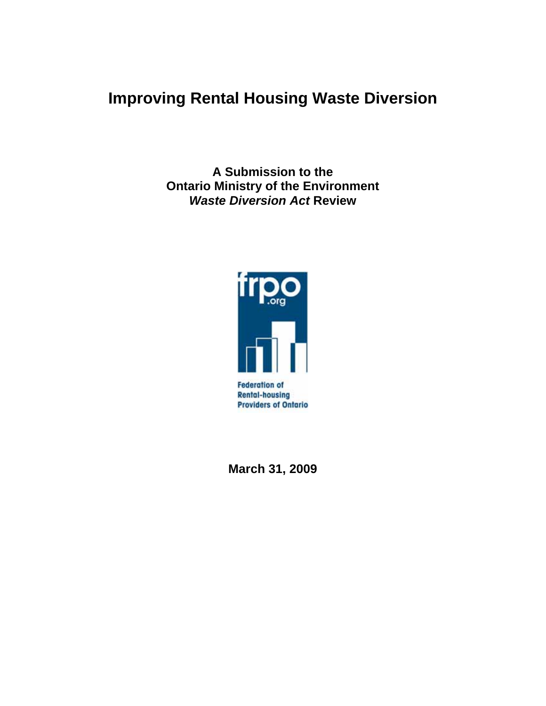# **Improving Rental Housing Waste Diversion**

**A Submission to the Ontario Ministry of the Environment**  *Waste Diversion Act* **Review** 



**March 31, 2009**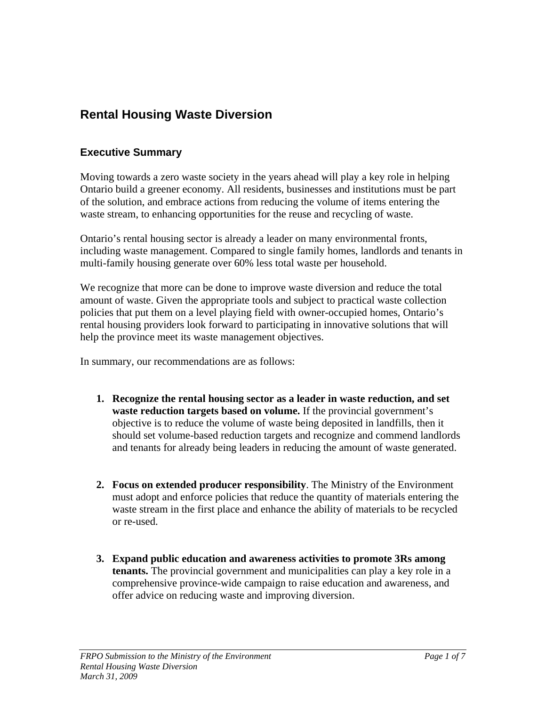## **Rental Housing Waste Diversion**

## **Executive Summary**

Moving towards a zero waste society in the years ahead will play a key role in helping Ontario build a greener economy. All residents, businesses and institutions must be part of the solution, and embrace actions from reducing the volume of items entering the waste stream, to enhancing opportunities for the reuse and recycling of waste.

Ontario's rental housing sector is already a leader on many environmental fronts, including waste management. Compared to single family homes, landlords and tenants in multi-family housing generate over 60% less total waste per household.

We recognize that more can be done to improve waste diversion and reduce the total amount of waste. Given the appropriate tools and subject to practical waste collection policies that put them on a level playing field with owner-occupied homes, Ontario's rental housing providers look forward to participating in innovative solutions that will help the province meet its waste management objectives.

In summary, our recommendations are as follows:

- **1. Recognize the rental housing sector as a leader in waste reduction, and set waste reduction targets based on volume.** If the provincial government's objective is to reduce the volume of waste being deposited in landfills, then it should set volume-based reduction targets and recognize and commend landlords and tenants for already being leaders in reducing the amount of waste generated.
- **2. Focus on extended producer responsibility**. The Ministry of the Environment must adopt and enforce policies that reduce the quantity of materials entering the waste stream in the first place and enhance the ability of materials to be recycled or re-used.
- **3. Expand public education and awareness activities to promote 3Rs among tenants.** The provincial government and municipalities can play a key role in a comprehensive province-wide campaign to raise education and awareness, and offer advice on reducing waste and improving diversion.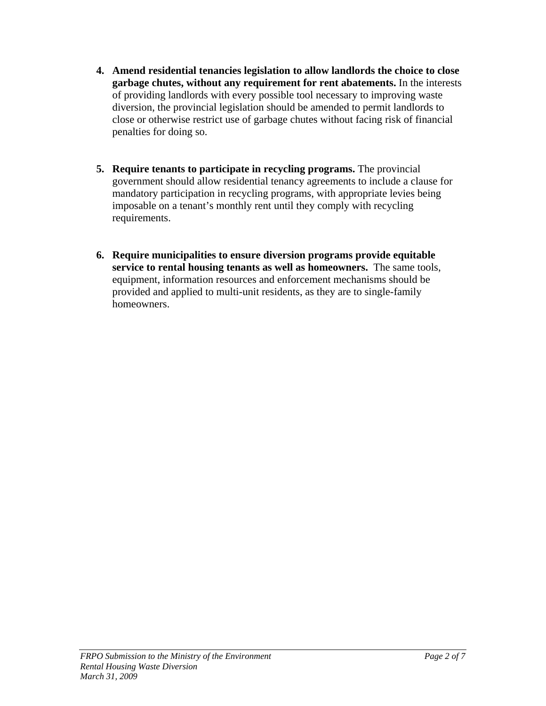- **4. Amend residential tenancies legislation to allow landlords the choice to close garbage chutes, without any requirement for rent abatements.** In the interests of providing landlords with every possible tool necessary to improving waste diversion, the provincial legislation should be amended to permit landlords to close or otherwise restrict use of garbage chutes without facing risk of financial penalties for doing so.
- **5. Require tenants to participate in recycling programs.** The provincial government should allow residential tenancy agreements to include a clause for mandatory participation in recycling programs, with appropriate levies being imposable on a tenant's monthly rent until they comply with recycling requirements.
- **6. Require municipalities to ensure diversion programs provide equitable service to rental housing tenants as well as homeowners.** The same tools, equipment, information resources and enforcement mechanisms should be provided and applied to multi-unit residents, as they are to single-family homeowners.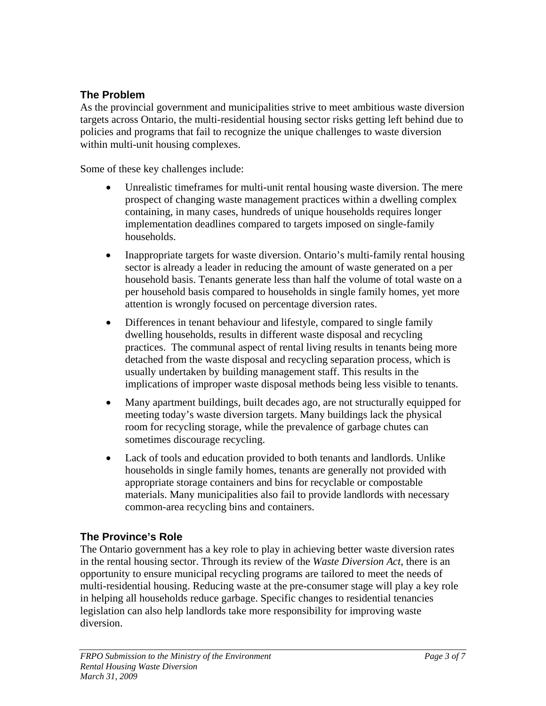## **The Problem**

As the provincial government and municipalities strive to meet ambitious waste diversion targets across Ontario, the multi-residential housing sector risks getting left behind due to policies and programs that fail to recognize the unique challenges to waste diversion within multi-unit housing complexes.

Some of these key challenges include:

- Unrealistic timeframes for multi-unit rental housing waste diversion. The mere prospect of changing waste management practices within a dwelling complex containing, in many cases, hundreds of unique households requires longer implementation deadlines compared to targets imposed on single-family households.
- Inappropriate targets for waste diversion. Ontario's multi-family rental housing sector is already a leader in reducing the amount of waste generated on a per household basis. Tenants generate less than half the volume of total waste on a per household basis compared to households in single family homes, yet more attention is wrongly focused on percentage diversion rates.
- Differences in tenant behaviour and lifestyle, compared to single family dwelling households, results in different waste disposal and recycling practices. The communal aspect of rental living results in tenants being more detached from the waste disposal and recycling separation process, which is usually undertaken by building management staff. This results in the implications of improper waste disposal methods being less visible to tenants.
- Many apartment buildings, built decades ago, are not structurally equipped for meeting today's waste diversion targets. Many buildings lack the physical room for recycling storage, while the prevalence of garbage chutes can sometimes discourage recycling.
- Lack of tools and education provided to both tenants and landlords. Unlike households in single family homes, tenants are generally not provided with appropriate storage containers and bins for recyclable or compostable materials. Many municipalities also fail to provide landlords with necessary common-area recycling bins and containers.

## **The Province's Role**

The Ontario government has a key role to play in achieving better waste diversion rates in the rental housing sector. Through its review of the *Waste Diversion Act*, there is an opportunity to ensure municipal recycling programs are tailored to meet the needs of multi-residential housing. Reducing waste at the pre-consumer stage will play a key role in helping all households reduce garbage. Specific changes to residential tenancies legislation can also help landlords take more responsibility for improving waste diversion.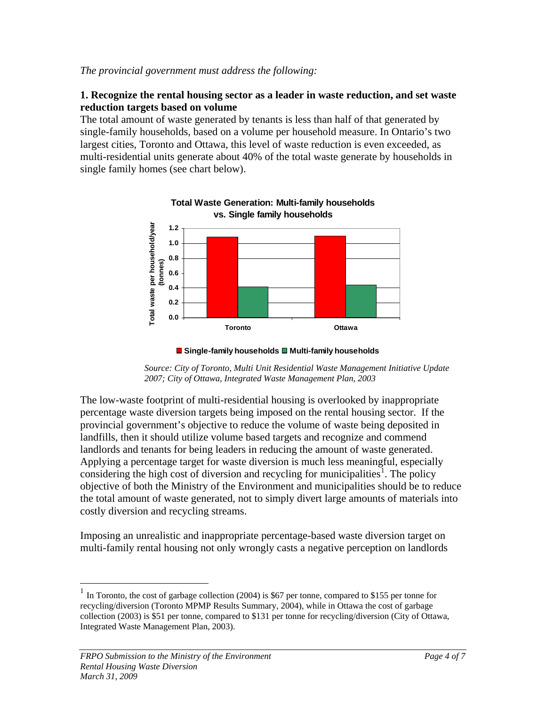#### *The provincial government must address the following:*

#### **1. Recognize the rental housing sector as a leader in waste reduction, and set waste reduction targets based on volume**

The total amount of waste generated by tenants is less than half of that generated by single-family households, based on a volume per household measure. In Ontario's two largest cities, Toronto and Ottawa, this level of waste reduction is even exceeded, as multi-residential units generate about 40% of the total waste generate by households in single family homes (see chart below).



#### **Total Waste Generation: Multi-family households vs. Single family households**

*Source: City of Toronto, Multi Unit Residential Waste Management Initiative Update 2007; City of Ottawa, Integrated Waste Management Plan, 2003* 

The low-waste footprint of multi-residential housing is overlooked by inappropriate percentage waste diversion targets being imposed on the rental housing sector. If the provincial government's objective to reduce the volume of waste being deposited in landfills, then it should utilize volume based targets and recognize and commend landlords and tenants for being leaders in reducing the amount of waste generated. Applying a percentage target for waste diversion is much less meaningful, especially considering the high cost of diversion and recycling for municipalities<sup>[1](#page-5-0)</sup>. The policy objective of both the Ministry of the Environment and municipalities should be to reduce the total amount of waste generated, not to simply divert large amounts of materials into costly diversion and recycling streams.

Imposing an unrealistic and inappropriate percentage-based waste diversion target on multi-family rental housing not only wrongly casts a negative perception on landlords

1

<sup>■</sup> Single-family households ■ Multi-family households

<span id="page-5-0"></span><sup>&</sup>lt;sup>1</sup> In Toronto, the cost of garbage collection (2004) is \$67 per tonne, compared to \$155 per tonne for recycling/diversion (Toronto MPMP Results Summary, 2004), while in Ottawa the cost of garbage collection (2003) is \$51 per tonne, compared to \$131 per tonne for recycling/diversion (City of Ottawa, Integrated Waste Management Plan, 2003).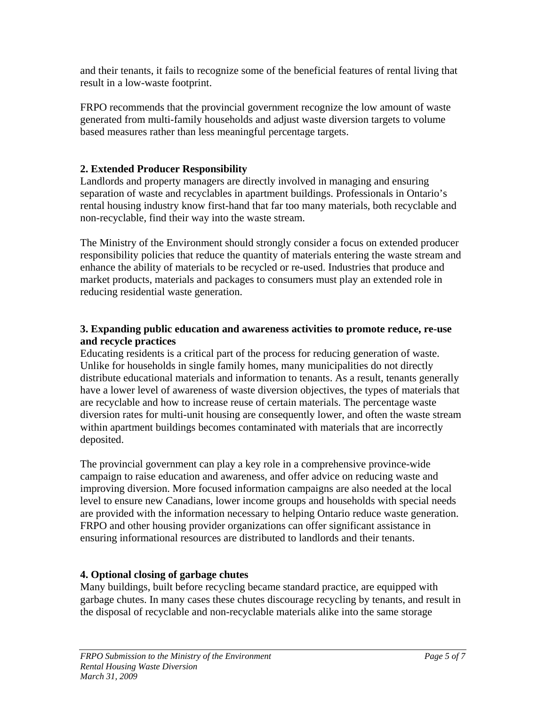and their tenants, it fails to recognize some of the beneficial features of rental living that result in a low-waste footprint.

FRPO recommends that the provincial government recognize the low amount of waste generated from multi-family households and adjust waste diversion targets to volume based measures rather than less meaningful percentage targets.

## **2. Extended Producer Responsibility**

Landlords and property managers are directly involved in managing and ensuring separation of waste and recyclables in apartment buildings. Professionals in Ontario's rental housing industry know first-hand that far too many materials, both recyclable and non-recyclable, find their way into the waste stream.

The Ministry of the Environment should strongly consider a focus on extended producer responsibility policies that reduce the quantity of materials entering the waste stream and enhance the ability of materials to be recycled or re-used. Industries that produce and market products, materials and packages to consumers must play an extended role in reducing residential waste generation.

### **3. Expanding public education and awareness activities to promote reduce, re-use and recycle practices**

Educating residents is a critical part of the process for reducing generation of waste. Unlike for households in single family homes, many municipalities do not directly distribute educational materials and information to tenants. As a result, tenants generally have a lower level of awareness of waste diversion objectives, the types of materials that are recyclable and how to increase reuse of certain materials. The percentage waste diversion rates for multi-unit housing are consequently lower, and often the waste stream within apartment buildings becomes contaminated with materials that are incorrectly deposited.

The provincial government can play a key role in a comprehensive province-wide campaign to raise education and awareness, and offer advice on reducing waste and improving diversion. More focused information campaigns are also needed at the local level to ensure new Canadians, lower income groups and households with special needs are provided with the information necessary to helping Ontario reduce waste generation. FRPO and other housing provider organizations can offer significant assistance in ensuring informational resources are distributed to landlords and their tenants.

## **4. Optional closing of garbage chutes**

Many buildings, built before recycling became standard practice, are equipped with garbage chutes. In many cases these chutes discourage recycling by tenants, and result in the disposal of recyclable and non-recyclable materials alike into the same storage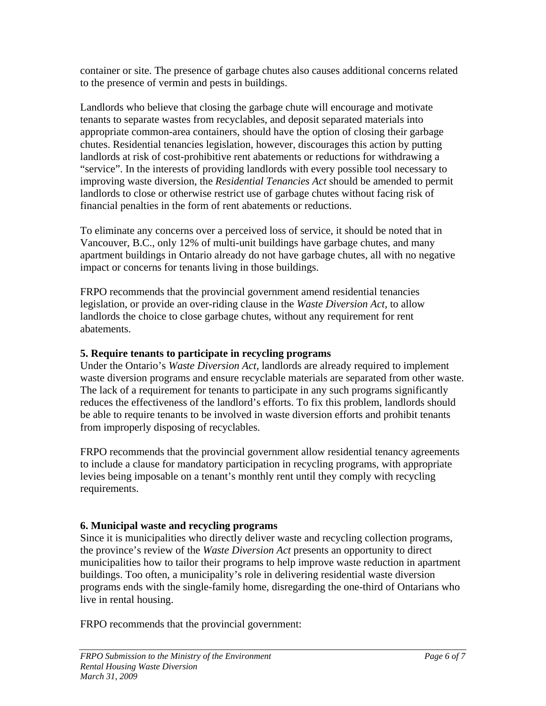container or site. The presence of garbage chutes also causes additional concerns related to the presence of vermin and pests in buildings.

Landlords who believe that closing the garbage chute will encourage and motivate tenants to separate wastes from recyclables, and deposit separated materials into appropriate common-area containers, should have the option of closing their garbage chutes. Residential tenancies legislation, however, discourages this action by putting landlords at risk of cost-prohibitive rent abatements or reductions for withdrawing a "service". In the interests of providing landlords with every possible tool necessary to improving waste diversion, the *Residential Tenancies Act* should be amended to permit landlords to close or otherwise restrict use of garbage chutes without facing risk of financial penalties in the form of rent abatements or reductions.

To eliminate any concerns over a perceived loss of service, it should be noted that in Vancouver, B.C., only 12% of multi-unit buildings have garbage chutes, and many apartment buildings in Ontario already do not have garbage chutes, all with no negative impact or concerns for tenants living in those buildings.

FRPO recommends that the provincial government amend residential tenancies legislation, or provide an over-riding clause in the *Waste Diversion Act*, to allow landlords the choice to close garbage chutes, without any requirement for rent abatements.

## **5. Require tenants to participate in recycling programs**

Under the Ontario's *Waste Diversion Act*, landlords are already required to implement waste diversion programs and ensure recyclable materials are separated from other waste. The lack of a requirement for tenants to participate in any such programs significantly reduces the effectiveness of the landlord's efforts. To fix this problem, landlords should be able to require tenants to be involved in waste diversion efforts and prohibit tenants from improperly disposing of recyclables.

FRPO recommends that the provincial government allow residential tenancy agreements to include a clause for mandatory participation in recycling programs, with appropriate levies being imposable on a tenant's monthly rent until they comply with recycling requirements.

## **6. Municipal waste and recycling programs**

Since it is municipalities who directly deliver waste and recycling collection programs, the province's review of the *Waste Diversion Act* presents an opportunity to direct municipalities how to tailor their programs to help improve waste reduction in apartment buildings. Too often, a municipality's role in delivering residential waste diversion programs ends with the single-family home, disregarding the one-third of Ontarians who live in rental housing.

FRPO recommends that the provincial government: